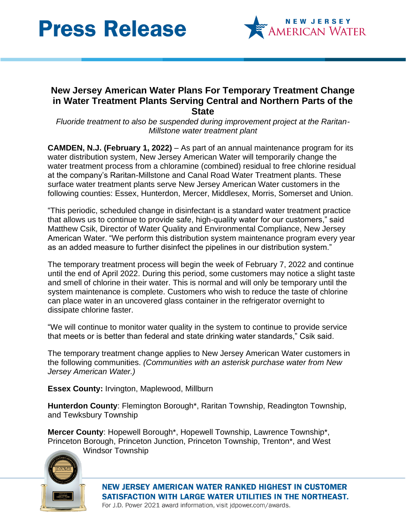



## **New Jersey American Water Plans For Temporary Treatment Change in Water Treatment Plants Serving Central and Northern Parts of the State**

*Fluoride treatment to also be suspended during improvement project at the Raritan-Millstone water treatment plant*

**CAMDEN, N.J. (February 1, 2022)** – As part of an annual maintenance program for its water distribution system, New Jersey American Water will temporarily change the water treatment process from a chloramine (combined) residual to free chlorine residual at the company's Raritan-Millstone and Canal Road Water Treatment plants. These surface water treatment plants serve New Jersey American Water customers in the following counties: Essex, Hunterdon, Mercer, Middlesex, Morris, Somerset and Union.

"This periodic, scheduled change in disinfectant is a standard water treatment practice that allows us to continue to provide safe, high-quality water for our customers," said Matthew Csik, Director of Water Quality and Environmental Compliance, New Jersey American Water. "We perform this distribution system maintenance program every year as an added measure to further disinfect the pipelines in our distribution system."

The temporary treatment process will begin the week of February 7, 2022 and continue until the end of April 2022. During this period, some customers may notice a slight taste and smell of chlorine in their water. This is normal and will only be temporary until the system maintenance is complete. Customers who wish to reduce the taste of chlorine can place water in an uncovered glass container in the refrigerator overnight to dissipate chlorine faster.

"We will continue to monitor water quality in the system to continue to provide service that meets or is better than federal and state drinking water standards," Csik said.

The temporary treatment change applies to New Jersey American Water customers in the following communities. *(Communities with an asterisk purchase water from New Jersey American Water.)* 

**Essex County:** Irvington, Maplewood, Millburn

**Hunterdon County**: Flemington Borough\*, Raritan Township, Readington Township, and Tewksbury Township

**Mercer County**: Hopewell Borough\*, Hopewell Township, Lawrence Township\*, Princeton Borough, Princeton Junction, Princeton Township, Trenton\*, and West



**NEW JERSEY AMERICAN WATER RANKED HIGHEST IN CUSTOMER** SATISFACTION WITH LARGE WATER UTILITIES IN THE NORTHEAST. For J.D. Power 2021 award information, visit jdpower.com/awards.